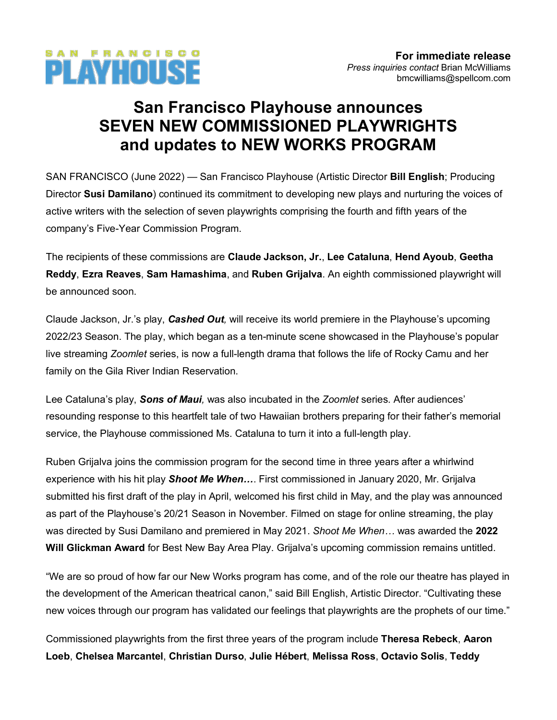

# **San Francisco Playhouse announces SEVEN NEW COMMISSIONED PLAYWRIGHTS and updates to NEW WORKS PROGRAM**

SAN FRANCISCO (June 2022) — San Francisco Playhouse (Artistic Director **Bill English**; Producing Director **Susi Damilano**) continued its commitment to developing new plays and nurturing the voices of active writers with the selection of seven playwrights comprising the fourth and fifth years of the company's Five-Year Commission Program.

The recipients of these commissions are **Claude Jackson, Jr.**, **Lee Cataluna**, **Hend Ayoub**, **Geetha Reddy**, **Ezra Reaves**, **Sam Hamashima**, and **Ruben Grijalva**. An eighth commissioned playwright will be announced soon.

Claude Jackson, Jr.'s play, *Cashed Out,* will receive its world premiere in the Playhouse's upcoming 2022/23 Season. The play, which began as a ten-minute scene showcased in the Playhouse's popular live streaming *Zoomlet* series, is now a full-length drama that follows the life of Rocky Camu and her family on the Gila River Indian Reservation.

Lee Cataluna's play, *Sons of Maui,* was also incubated in the *Zoomlet* series. After audiences' resounding response to this heartfelt tale of two Hawaiian brothers preparing for their father's memorial service, the Playhouse commissioned Ms. Cataluna to turn it into a full-length play.

Ruben Grijalva joins the commission program for the second time in three years after a whirlwind experience with his hit play *Shoot Me When…*. First commissioned in January 2020, Mr. Grijalva submitted his first draft of the play in April, welcomed his first child in May, and the play was announced as part of the Playhouse's 20/21 Season in November. Filmed on stage for online streaming, the play was directed by Susi Damilano and premiered in May 2021. *Shoot Me When…* was awarded the **2022 Will Glickman Award** for Best New Bay Area Play. Grijalva's upcoming commission remains untitled.

"We are so proud of how far our New Works program has come, and of the role our theatre has played in the development of the American theatrical canon," said Bill English, Artistic Director. "Cultivating these new voices through our program has validated our feelings that playwrights are the prophets of our time."

Commissioned playwrights from the first three years of the program include **Theresa Rebeck**, **Aaron Loeb**, **Chelsea Marcantel**, **Christian Durso**, **Julie Hébert**, **Melissa Ross**, **Octavio Solis**, **Teddy**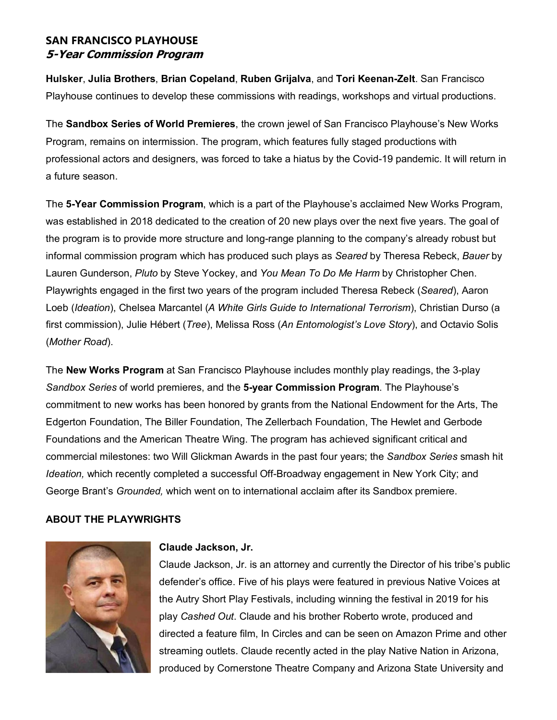**Hulsker**, **Julia Brothers**, **Brian Copeland**, **Ruben Grijalva**, and **Tori Keenan-Zelt**. San Francisco Playhouse continues to develop these commissions with readings, workshops and virtual productions.

The **Sandbox Series of World Premieres**, the crown jewel of San Francisco Playhouse's New Works Program, remains on intermission. The program, which features fully staged productions with professional actors and designers, was forced to take a hiatus by the Covid-19 pandemic. It will return in a future season.

The **5-Year Commission Program**, which is a part of the Playhouse's acclaimed New Works Program, was established in 2018 dedicated to the creation of 20 new plays over the next five years. The goal of the program is to provide more structure and long-range planning to the company's already robust but informal commission program which has produced such plays as *Seared* by Theresa Rebeck, *Bauer* by Lauren Gunderson, *Pluto* by Steve Yockey, and *You Mean To Do Me Harm* by Christopher Chen. Playwrights engaged in the first two years of the program included Theresa Rebeck (*Seared*), Aaron Loeb (*Ideation*), Chelsea Marcantel (*A White Girls Guide to International Terrorism*), Christian Durso (a first commission), Julie Hébert (*Tree*), Melissa Ross (*An Entomologist's Love Story*), and Octavio Solis (*Mother Road*).

The **New Works Program** at San Francisco Playhouse includes monthly play readings, the 3-play *Sandbox Series* of world premieres, and the **5-year Commission Program**. The Playhouse's commitment to new works has been honored by grants from the National Endowment for the Arts, The Edgerton Foundation, The Biller Foundation, The Zellerbach Foundation, The Hewlet and Gerbode Foundations and the American Theatre Wing. The program has achieved significant critical and commercial milestones: two Will Glickman Awards in the past four years; the *Sandbox Series* smash hit *Ideation,* which recently completed a successful Off-Broadway engagement in New York City; and George Brant's *Grounded,* which went on to international acclaim after its Sandbox premiere.

## **ABOUT THE PLAYWRIGHTS**



## **Claude Jackson, Jr.**

Claude Jackson, Jr. is an attorney and currently the Director of his tribe's public defender's office. Five of his plays were featured in previous Native Voices at the Autry Short Play Festivals, including winning the festival in 2019 for his play *Cashed Out*. Claude and his brother Roberto wrote, produced and directed a feature film, In Circles and can be seen on Amazon Prime and other streaming outlets. Claude recently acted in the play Native Nation in Arizona, produced by Cornerstone Theatre Company and Arizona State University and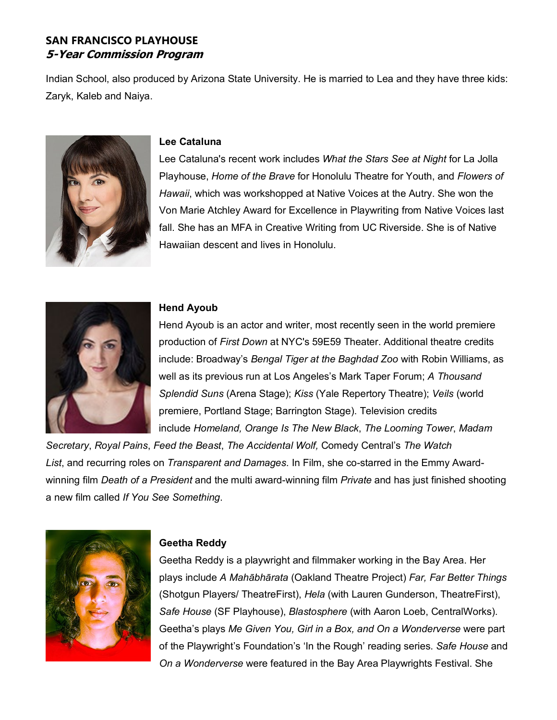Indian School, also produced by Arizona State University. He is married to Lea and they have three kids: Zaryk, Kaleb and Naiya.



#### **Lee Cataluna**

Lee Cataluna's recent work includes *What the Stars See at Night* for La Jolla Playhouse, *Home of the Brave* for Honolulu Theatre for Youth, and *Flowers of Hawaii*, which was workshopped at Native Voices at the Autry. She won the Von Marie Atchley Award for Excellence in Playwriting from Native Voices last fall. She has an MFA in Creative Writing from UC Riverside. She is of Native Hawaiian descent and lives in Honolulu.



#### **Hend Ayoub**

Hend Ayoub is an actor and writer, most recently seen in the world premiere production of *First Down* at NYC's 59E59 Theater. Additional theatre credits include: Broadway's *Bengal Tiger at the Baghdad Zoo* with Robin Williams, as well as its previous run at Los Angeles's Mark Taper Forum; *A Thousand Splendid Suns* (Arena Stage); *Kiss* (Yale Repertory Theatre); *Veils* (world premiere, Portland Stage; Barrington Stage). Television credits include *Homeland, Orange Is The New Black*, *The Looming Tower*, *Madam*

*Secretary*, *Royal Pains*, *Feed the Beast*, *The Accidental Wolf,* Comedy Central's *The Watch List*, and recurring roles on *Transparent and Damages*. In Film, she co-starred in the Emmy Awardwinning film *Death of a President* and the multi award-winning film *Private* and has just finished shooting a new film called *If You See Something*.



## **Geetha Reddy**

Geetha Reddy is a playwright and filmmaker working in the Bay Area. Her plays include *A Mahābhārata* (Oakland Theatre Project) *Far, Far Better Things* (Shotgun Players/ TheatreFirst), *Hela* (with Lauren Gunderson, TheatreFirst), *Safe House* (SF Playhouse), *Blastosphere* (with Aaron Loeb, CentralWorks). Geetha's plays *Me Given You, Girl in a Box, and On a Wonderverse* were part of the Playwright's Foundation's 'In the Rough' reading series. *Safe House* and *On a Wonderverse* were featured in the Bay Area Playwrights Festival. She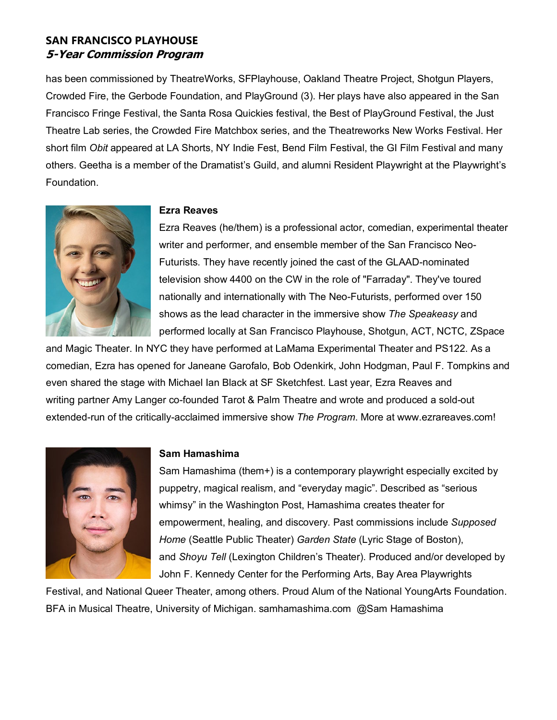has been commissioned by TheatreWorks, SFPlayhouse, Oakland Theatre Project, Shotgun Players, Crowded Fire, the Gerbode Foundation, and PlayGround (3). Her plays have also appeared in the San Francisco Fringe Festival, the Santa Rosa Quickies festival, the Best of PlayGround Festival, the Just Theatre Lab series, the Crowded Fire Matchbox series, and the Theatreworks New Works Festival. Her short film *Obit* appeared at LA Shorts, NY Indie Fest, Bend Film Festival, the GI Film Festival and many others. Geetha is a member of the Dramatist's Guild, and alumni Resident Playwright at the Playwright's Foundation.



#### **Ezra Reaves**

Ezra Reaves (he/them) is a professional actor, comedian, experimental theater writer and performer, and ensemble member of the San Francisco Neo-Futurists. They have recently joined the cast of the GLAAD-nominated television show 4400 on the CW in the role of "Farraday". They've toured nationally and internationally with The Neo-Futurists, performed over 150 shows as the lead character in the immersive show *The Speakeasy* and performed locally at San Francisco Playhouse, Shotgun, ACT, NCTC, ZSpace

and Magic Theater. In NYC they have performed at LaMama Experimental Theater and PS122. As a comedian, Ezra has opened for Janeane Garofalo, Bob Odenkirk, John Hodgman, Paul F. Tompkins and even shared the stage with Michael Ian Black at SF Sketchfest. Last year, Ezra Reaves and writing partner Amy Langer co-founded Tarot & Palm Theatre and wrote and produced a sold-out extended-run of the critically-acclaimed immersive show *The Program*. More at www.ezrareaves.com!



#### **Sam Hamashima**

Sam Hamashima (them+) is a contemporary playwright especially excited by puppetry, magical realism, and "everyday magic". Described as "serious whimsy" in the Washington Post, Hamashima creates theater for empowerment, healing, and discovery*.* Past commissions include *Supposed Home* (Seattle Public Theater) *Garden State* (Lyric Stage of Boston), and *Shoyu Tell* (Lexington Children's Theater). Produced and/or developed by John F. Kennedy Center for the Performing Arts, Bay Area Playwrights

Festival, and National Queer Theater, among others. Proud Alum of the National YoungArts Foundation. BFA in Musical Theatre, University of Michigan. samhamashima.com @Sam Hamashima